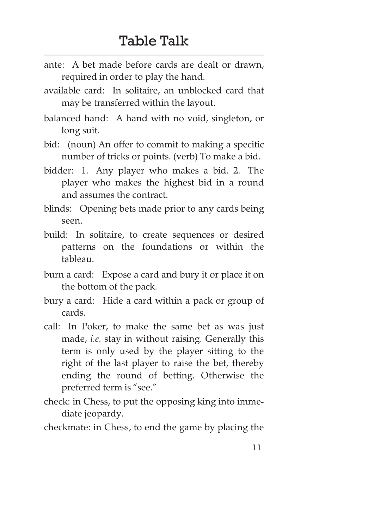- ante: A bet made before cards are dealt or drawn, required in order to play the hand.
- available card: In solitaire, an unblocked card that may be transferred within the layout.
- balanced hand: A hand with no void, singleton, or long suit.
- bid: (noun) An offer to commit to making a specific number of tricks or points. (verb) To make a bid.
- bidder: 1. Any player who makes a bid. 2. The player who makes the highest bid in a round and assumes the contract.
- blinds: Opening bets made prior to any cards being seen.
- build: In solitaire, to create sequences or desired patterns on the foundations or within the tableau.
- burn a card: Expose a card and bury it or place it on the bottom of the pack.
- bury a card: Hide a card within a pack or group of cards.
- call: In Poker, to make the same bet as was just made, *i.e*. stay in without raising. Generally this term is only used by the player sitting to the right of the last player to raise the bet, thereby ending the round of betting. Otherwise the preferred term is "see."
- check: in Chess, to put the opposing king into immediate jeopardy.
- checkmate: in Chess, to end the game by placing the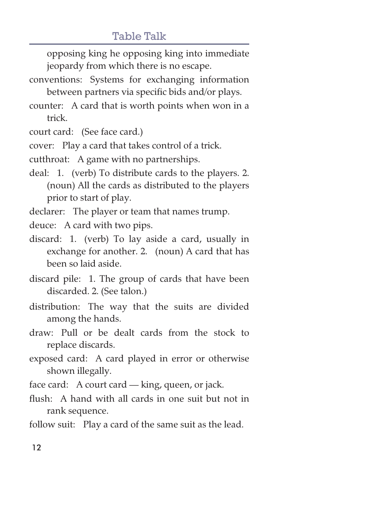opposing king he opposing king into immediate jeopardy from which there is no escape.

- conventions: Systems for exchanging information between partners via specific bids and/or plays.
- counter: A card that is worth points when won in a trick.
- court card: (See face card.)
- cover: Play a card that takes control of a trick.
- cutthroat: A game with no partnerships.
- deal: 1. (verb) To distribute cards to the players. 2. (noun) All the cards as distributed to the players prior to start of play.
- declarer: The player or team that names trump.
- deuce: A card with two pips.
- discard: 1. (verb) To lay aside a card, usually in exchange for another. 2. (noun) A card that has been so laid aside.
- discard pile: 1. The group of cards that have been discarded. 2. (See talon.)
- distribution: The way that the suits are divided among the hands.
- draw: Pull or be dealt cards from the stock to replace discards.
- exposed card: A card played in error or otherwise shown illegally.
- face card: A court card king, queen, or jack.
- flush: A hand with all cards in one suit but not in rank sequence.
- follow suit: Play a card of the same suit as the lead.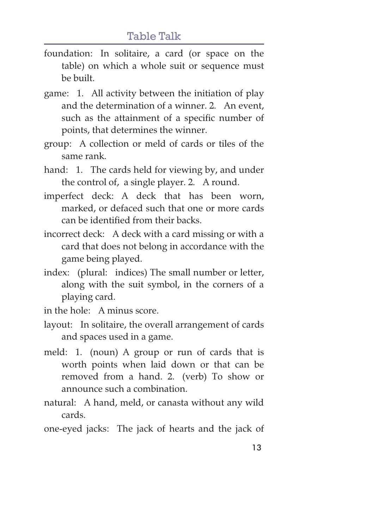- foundation: In solitaire, a card (or space on the table) on which a whole suit or sequence must be built.
- game: 1. All activity between the initiation of play and the determination of a winner. 2. An event, such as the attainment of a specific number of points, that determines the winner.
- group: A collection or meld of cards or tiles of the same rank.
- hand: 1. The cards held for viewing by, and under the control of, a single player. 2. A round.
- imperfect deck: A deck that has been worn, marked, or defaced such that one or more cards can be identified from their backs.
- incorrect deck: A deck with a card missing or with a card that does not belong in accordance with the game being played.
- index: (plural: indices) The small number or letter, along with the suit symbol, in the corners of a playing card.
- in the hole: A minus score.
- layout: In solitaire, the overall arrangement of cards and spaces used in a game.
- meld: 1. (noun) A group or run of cards that is worth points when laid down or that can be removed from a hand. 2. (verb) To show or announce such a combination.
- natural: A hand, meld, or canasta without any wild cards.
- one-eyed jacks: The jack of hearts and the jack of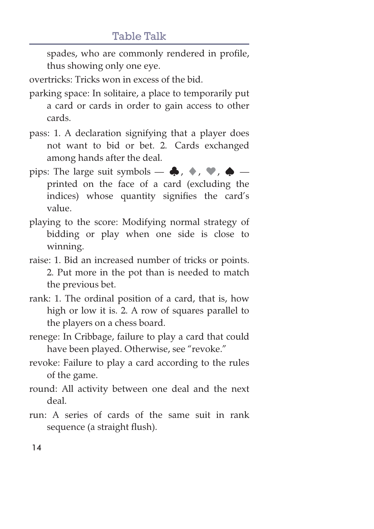spades, who are commonly rendered in profile, thus showing only one eye.

overtricks: Tricks won in excess of the bid.

- parking space: In solitaire, a place to temporarily put a card or cards in order to gain access to other cards.
- pass: 1. A declaration signifying that a player does not want to bid or bet. 2. Cards exchanged among hands after the deal.
- pips: The large suit symbols  $\clubsuit$ ,  $\spadesuit$ ,  $\spadesuit$ ,  $\spadesuit$  printed on the face of a card (excluding the indices) whose quantity signifies the card's value.
- playing to the score: Modifying normal strategy of bidding or play when one side is close to winning.
- raise: 1. Bid an increased number of tricks or points. 2. Put more in the pot than is needed to match the previous bet.
- rank: 1. The ordinal position of a card, that is, how high or low it is. 2. A row of squares parallel to the players on a chess board.
- renege: In Cribbage, failure to play a card that could have been played. Otherwise, see "revoke."
- revoke: Failure to play a card according to the rules of the game.
- round: All activity between one deal and the next deal.
- run: A series of cards of the same suit in rank sequence (a straight flush).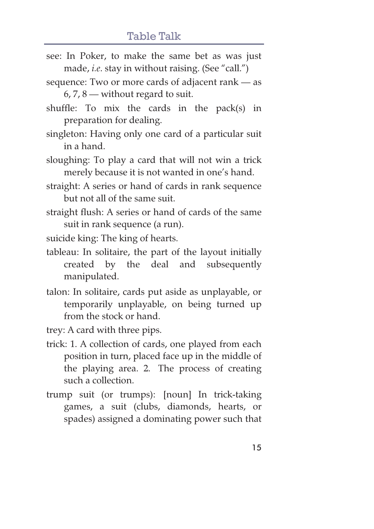- see: In Poker, to make the same bet as was just made, *i.e*. stay in without raising. (See "call.")
- sequence: Two or more cards of adjacent rank as 6, 7, 8 — without regard to suit.
- shuffle: To mix the cards in the pack(s) in preparation for dealing.
- singleton: Having only one card of a particular suit in a hand.
- sloughing: To play a card that will not win a trick merely because it is not wanted in one's hand.
- straight: A series or hand of cards in rank sequence but not all of the same suit.
- straight flush: A series or hand of cards of the same suit in rank sequence (a run).
- suicide king: The king of hearts.
- tableau: In solitaire, the part of the layout initially created by the deal and subsequently manipulated.
- talon: In solitaire, cards put aside as unplayable, or temporarily unplayable, on being turned up from the stock or hand.
- trey: A card with three pips.
- trick: 1. A collection of cards, one played from each position in turn, placed face up in the middle of the playing area. 2. The process of creating such a collection.
- trump suit (or trumps): [noun] In trick-taking games, a suit (clubs, diamonds, hearts, or spades) assigned a dominating power such that